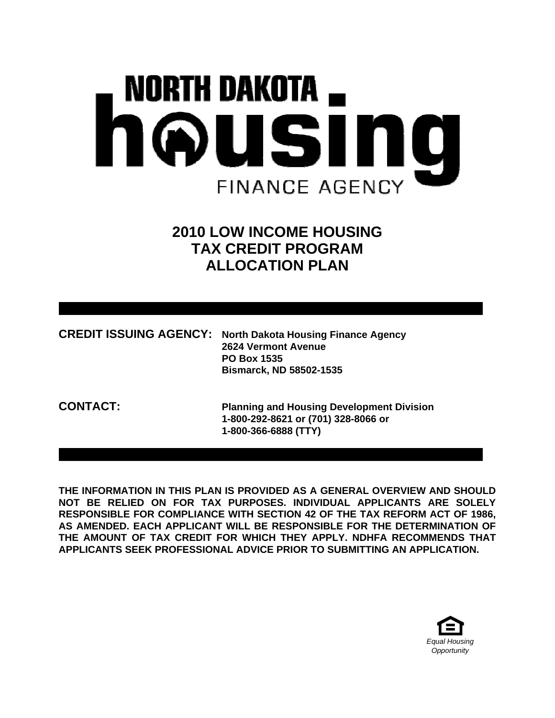# NORTH DAKOTA \_ housin IO **FINANCE AGENCY**

# **2010 LOW INCOME HOUSING TAX CREDIT PROGRAM ALLOCATION PLAN**

| <b>CREDIT ISSUING AGENCY: North Dakota Housing Finance Agency</b> |
|-------------------------------------------------------------------|
| 2624 Vermont Avenue                                               |
| <b>PO Box 1535</b>                                                |
| <b>Bismarck, ND 58502-1535</b>                                    |

**CONTACT: Planning and Housing Development Division 1-800-292-8621 or (701) 328-8066 or 1-800-366-6888 (TTY)** 

**THE INFORMATION IN THIS PLAN IS PROVIDED AS A GENERAL OVERVIEW AND SHOULD NOT BE RELIED ON FOR TAX PURPOSES. INDIVIDUAL APPLICANTS ARE SOLELY RESPONSIBLE FOR COMPLIANCE WITH SECTION 42 OF THE TAX REFORM ACT OF 1986, AS AMENDED. EACH APPLICANT WILL BE RESPONSIBLE FOR THE DETERMINATION OF THE AMOUNT OF TAX CREDIT FOR WHICH THEY APPLY. NDHFA RECOMMENDS THAT APPLICANTS SEEK PROFESSIONAL ADVICE PRIOR TO SUBMITTING AN APPLICATION.** 

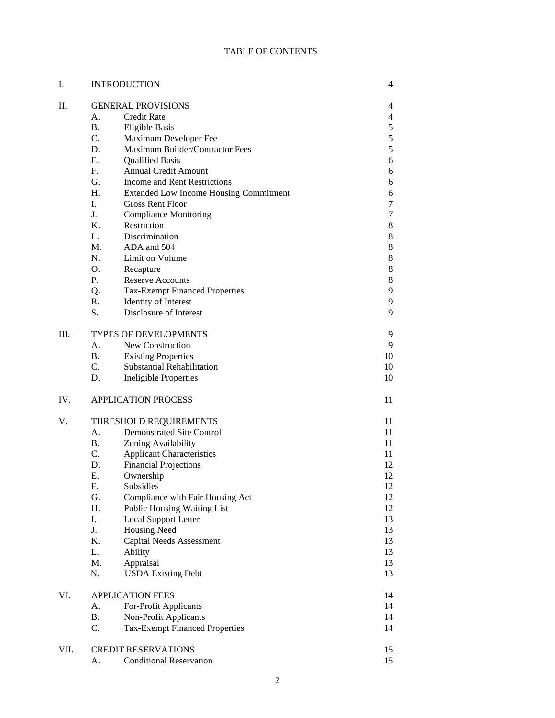### TABLE OF CONTENTS

| I.   | <b>INTRODUCTION</b>          |                                               | 4             |  |  |
|------|------------------------------|-----------------------------------------------|---------------|--|--|
| II.  |                              | <b>GENERAL PROVISIONS</b>                     | 4             |  |  |
|      | A.                           | <b>Credit Rate</b>                            | 4             |  |  |
|      | <b>B.</b>                    | <b>Eligible Basis</b>                         | $\mathfrak s$ |  |  |
|      | C.                           | Maximum Developer Fee                         | 5             |  |  |
|      | D.                           | Maximum Builder/Contractor Fees               | 5             |  |  |
|      | Ε.                           | <b>Qualified Basis</b>                        | 6             |  |  |
|      | $F_{\cdot}$                  | <b>Annual Credit Amount</b>                   | 6             |  |  |
|      | G.                           | <b>Income and Rent Restrictions</b>           | 6             |  |  |
|      | H.                           | <b>Extended Low Income Housing Commitment</b> | 6             |  |  |
|      | I.                           | <b>Gross Rent Floor</b>                       | 7             |  |  |
|      | J.                           | <b>Compliance Monitoring</b>                  | 7             |  |  |
|      | $K_{\cdot}$                  | Restriction                                   | 8             |  |  |
|      | L.                           | Discrimination                                | 8             |  |  |
|      | $M_{\odot}$                  | ADA and 504                                   | 8             |  |  |
|      | N.                           | Limit on Volume                               | 8             |  |  |
|      | O.                           | Recapture                                     | 8             |  |  |
|      | Ρ.                           | <b>Reserve Accounts</b>                       | 8             |  |  |
|      | Q.                           | <b>Tax-Exempt Financed Properties</b>         | 9             |  |  |
|      | R.                           | Identity of Interest                          | 9             |  |  |
|      | S.                           | Disclosure of Interest                        | 9             |  |  |
| Ш.   | <b>TYPES OF DEVELOPMENTS</b> |                                               |               |  |  |
|      | A.                           | New Construction                              | 9             |  |  |
|      | <b>B.</b>                    | <b>Existing Properties</b>                    | 10            |  |  |
|      | $C_{\cdot}$                  | Substantial Rehabilitation                    | 10            |  |  |
|      | D.                           | <b>Ineligible Properties</b>                  | 10            |  |  |
| IV.  |                              | <b>APPLICATION PROCESS</b>                    | 11            |  |  |
| V.   |                              | THRESHOLD REQUIREMENTS                        | 11            |  |  |
|      | A.                           | <b>Demonstrated Site Control</b>              | 11            |  |  |
|      | <b>B.</b>                    | Zoning Availability                           | 11            |  |  |
|      | $C_{\cdot}$                  | <b>Applicant Characteristics</b>              | 11            |  |  |
|      | D.                           | <b>Financial Projections</b>                  | 12            |  |  |
|      | Ε.                           | Ownership                                     | 12            |  |  |
|      | F.                           | Subsidies                                     | 12            |  |  |
|      | G.                           | Compliance with Fair Housing Act              | 12            |  |  |
|      | Η.                           | Public Housing Waiting List                   | 12            |  |  |
|      | I.                           | <b>Local Support Letter</b>                   | 13            |  |  |
|      | J.                           | <b>Housing Need</b>                           | 13            |  |  |
|      | K.                           | <b>Capital Needs Assessment</b>               | 13            |  |  |
|      | L.<br>Ability                |                                               | 13            |  |  |
|      | M.                           | Appraisal                                     | 13            |  |  |
|      | N.                           | <b>USDA Existing Debt</b>                     | 13            |  |  |
| VI.  | <b>APPLICATION FEES</b>      | 14                                            |               |  |  |
|      | А.                           | For-Profit Applicants                         | 14            |  |  |
|      | <b>B.</b>                    | Non-Profit Applicants                         | 14            |  |  |
|      | C.                           | <b>Tax-Exempt Financed Properties</b>         | 14            |  |  |
| VII. |                              | <b>CREDIT RESERVATIONS</b>                    | 15            |  |  |
|      | А.                           | <b>Conditional Reservation</b>                | 15            |  |  |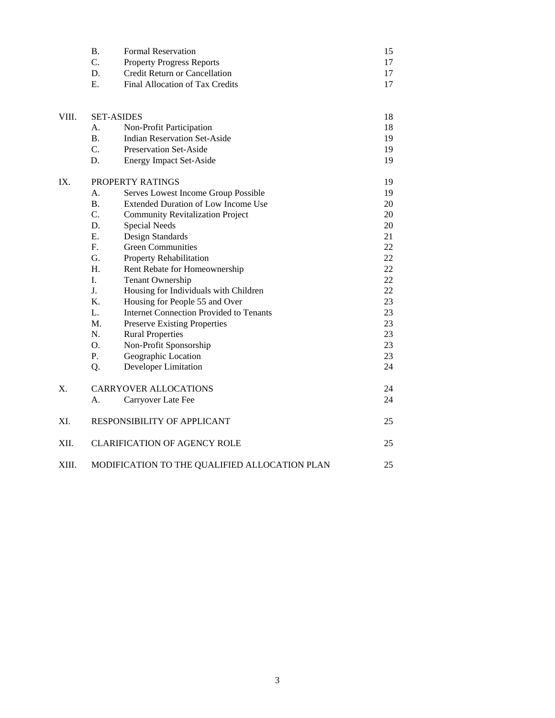| <b>Formal Reservation</b>        |  |
|----------------------------------|--|
| <b>Property Progress Reports</b> |  |
| Credit Return or Cancellation    |  |
| Final Allocation of Tax Credits  |  |

| VIII.       | <b>SET-ASIDES</b>           |                                                | 18 |
|-------------|-----------------------------|------------------------------------------------|----|
|             | A.                          | Non-Profit Participation                       | 18 |
|             | B <sub>r</sub>              | <b>Indian Reservation Set-Aside</b>            | 19 |
|             | C.                          | <b>Preservation Set-Aside</b>                  | 19 |
|             | D.                          | <b>Energy Impact Set-Aside</b>                 | 19 |
| IX.         | PROPERTY RATINGS            |                                                | 19 |
|             | A.                          | Serves Lowest Income Group Possible            | 19 |
|             | <b>B.</b>                   | <b>Extended Duration of Low Income Use</b>     | 20 |
|             | C.                          | <b>Community Revitalization Project</b>        | 20 |
|             | D.                          | <b>Special Needs</b>                           | 20 |
|             | E.                          | Design Standards                               | 21 |
|             | $F_{\cdot}$                 | <b>Green Communities</b>                       | 22 |
|             | G.                          | Property Rehabilitation                        | 22 |
|             | H <sub>1</sub>              | Rent Rebate for Homeownership                  | 22 |
|             | L.                          | <b>Tenant Ownership</b>                        | 22 |
|             | J.                          | Housing for Individuals with Children          | 22 |
|             | K.                          | Housing for People 55 and Over                 | 23 |
|             | L.                          | <b>Internet Connection Provided to Tenants</b> | 23 |
|             | M.                          | <b>Preserve Existing Properties</b>            | 23 |
|             | N.                          | <b>Rural Properties</b>                        | 23 |
|             | O.                          | Non-Profit Sponsorship                         | 23 |
|             | P.                          | Geographic Location                            | 23 |
|             | Q.                          | Developer Limitation                           | 24 |
| $X_{\cdot}$ |                             | <b>CARRYOVER ALLOCATIONS</b>                   | 24 |
|             | А.                          | Carryover Late Fee                             | 24 |
| XI.         | RESPONSIBILITY OF APPLICANT |                                                | 25 |
| XII.        |                             | <b>CLARIFICATION OF AGENCY ROLE</b>            | 25 |
| XIII.       |                             | MODIFICATION TO THE QUALIFIED ALLOCATION PLAN  | 25 |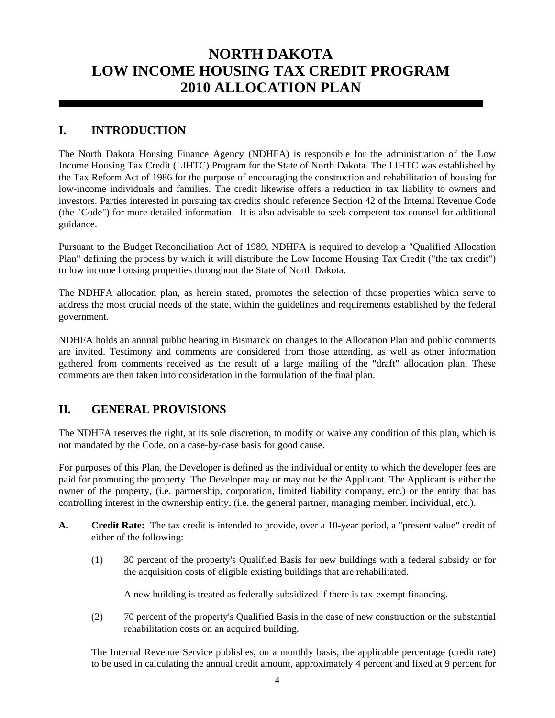# **NORTH DAKOTA LOW INCOME HOUSING TAX CREDIT PROGRAM 2010 ALLOCATION PLAN**

# **I. INTRODUCTION**

The North Dakota Housing Finance Agency (NDHFA) is responsible for the administration of the Low Income Housing Tax Credit (LIHTC) Program for the State of North Dakota. The LIHTC was established by the Tax Reform Act of 1986 for the purpose of encouraging the construction and rehabilitation of housing for low-income individuals and families. The credit likewise offers a reduction in tax liability to owners and investors. Parties interested in pursuing tax credits should reference Section 42 of the Internal Revenue Code (the "Code") for more detailed information. It is also advisable to seek competent tax counsel for additional guidance.

Pursuant to the Budget Reconciliation Act of 1989, NDHFA is required to develop a "Qualified Allocation Plan" defining the process by which it will distribute the Low Income Housing Tax Credit ("the tax credit") to low income housing properties throughout the State of North Dakota.

The NDHFA allocation plan, as herein stated, promotes the selection of those properties which serve to address the most crucial needs of the state, within the guidelines and requirements established by the federal government.

NDHFA holds an annual public hearing in Bismarck on changes to the Allocation Plan and public comments are invited. Testimony and comments are considered from those attending, as well as other information gathered from comments received as the result of a large mailing of the "draft" allocation plan. These comments are then taken into consideration in the formulation of the final plan.

# **II. GENERAL PROVISIONS**

The NDHFA reserves the right, at its sole discretion, to modify or waive any condition of this plan, which is not mandated by the Code, on a case-by-case basis for good cause.

For purposes of this Plan, the Developer is defined as the individual or entity to which the developer fees are paid for promoting the property. The Developer may or may not be the Applicant. The Applicant is either the owner of the property, (i.e. partnership, corporation, limited liability company, etc.) or the entity that has controlling interest in the ownership entity, (i.e. the general partner, managing member, individual, etc.).

- **A. Credit Rate:** The tax credit is intended to provide, over a 10-year period, a "present value" credit of either of the following:
	- (1) 30 percent of the property's Qualified Basis for new buildings with a federal subsidy or for the acquisition costs of eligible existing buildings that are rehabilitated.

A new building is treated as federally subsidized if there is tax-exempt financing.

 (2) 70 percent of the property's Qualified Basis in the case of new construction or the substantial rehabilitation costs on an acquired building.

 The Internal Revenue Service publishes, on a monthly basis, the applicable percentage (credit rate) to be used in calculating the annual credit amount, approximately 4 percent and fixed at 9 percent for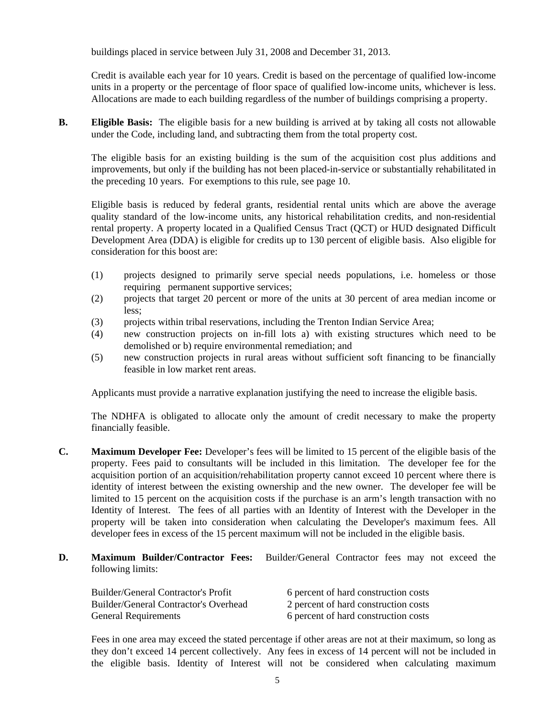buildings placed in service between July 31, 2008 and December 31, 2013.

 Credit is available each year for 10 years. Credit is based on the percentage of qualified low-income units in a property or the percentage of floor space of qualified low-income units, whichever is less. Allocations are made to each building regardless of the number of buildings comprising a property.

**B.** Eligible Basis: The eligible basis for a new building is arrived at by taking all costs not allowable under the Code, including land, and subtracting them from the total property cost.

 The eligible basis for an existing building is the sum of the acquisition cost plus additions and improvements, but only if the building has not been placed-in-service or substantially rehabilitated in the preceding 10 years. For exemptions to this rule, see page 10.

 Eligible basis is reduced by federal grants, residential rental units which are above the average quality standard of the low-income units, any historical rehabilitation credits, and non-residential rental property. A property located in a Qualified Census Tract (QCT) or HUD designated Difficult Development Area (DDA) is eligible for credits up to 130 percent of eligible basis. Also eligible for consideration for this boost are:

- (1) projects designed to primarily serve special needs populations, i.e. homeless or those requiring permanent supportive services;
- (2) projects that target 20 percent or more of the units at 30 percent of area median income or less;
- (3) projects within tribal reservations, including the Trenton Indian Service Area;
- (4) new construction projects on in-fill lots a) with existing structures which need to be demolished or b) require environmental remediation; and
- (5) new construction projects in rural areas without sufficient soft financing to be financially feasible in low market rent areas.

Applicants must provide a narrative explanation justifying the need to increase the eligible basis.

 The NDHFA is obligated to allocate only the amount of credit necessary to make the property financially feasible.

- **C. Maximum Developer Fee:** Developer's fees will be limited to 15 percent of the eligible basis of the property. Fees paid to consultants will be included in this limitation. The developer fee for the acquisition portion of an acquisition/rehabilitation property cannot exceed 10 percent where there is identity of interest between the existing ownership and the new owner. The developer fee will be limited to 15 percent on the acquisition costs if the purchase is an arm's length transaction with no Identity of Interest. The fees of all parties with an Identity of Interest with the Developer in the property will be taken into consideration when calculating the Developer's maximum fees. All developer fees in excess of the 15 percent maximum will not be included in the eligible basis.
- **D. Maximum Builder/Contractor Fees:** Builder/General Contractor fees may not exceed the following limits:

| <b>Builder/General Contractor's Profit</b> | 6 percent of hard construction costs |
|--------------------------------------------|--------------------------------------|
| Builder/General Contractor's Overhead      | 2 percent of hard construction costs |
| <b>General Requirements</b>                | 6 percent of hard construction costs |

 Fees in one area may exceed the stated percentage if other areas are not at their maximum, so long as they don't exceed 14 percent collectively. Any fees in excess of 14 percent will not be included in the eligible basis. Identity of Interest will not be considered when calculating maximum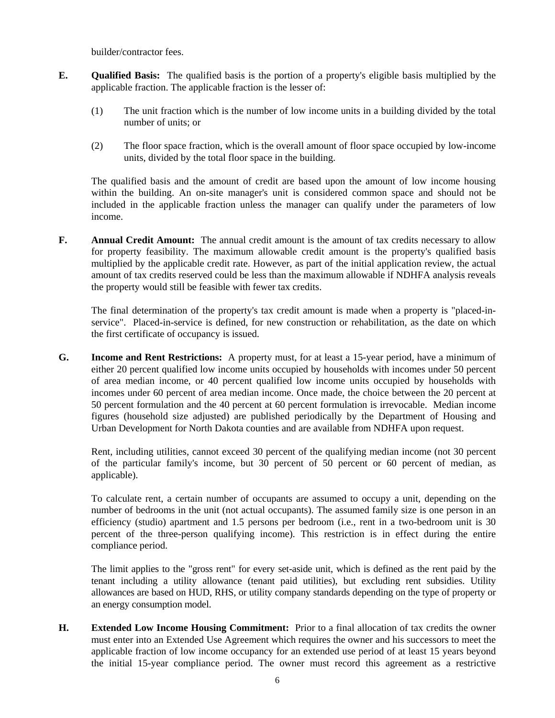builder/contractor fees.

- **E. Qualified Basis:** The qualified basis is the portion of a property's eligible basis multiplied by the applicable fraction. The applicable fraction is the lesser of:
	- (1) The unit fraction which is the number of low income units in a building divided by the total number of units; or
	- (2) The floor space fraction, which is the overall amount of floor space occupied by low-income units, divided by the total floor space in the building.

 The qualified basis and the amount of credit are based upon the amount of low income housing within the building. An on-site manager's unit is considered common space and should not be included in the applicable fraction unless the manager can qualify under the parameters of low income.

**F.** Annual Credit Amount: The annual credit amount is the amount of tax credits necessary to allow for property feasibility. The maximum allowable credit amount is the property's qualified basis multiplied by the applicable credit rate. However, as part of the initial application review, the actual amount of tax credits reserved could be less than the maximum allowable if NDHFA analysis reveals the property would still be feasible with fewer tax credits.

 The final determination of the property's tax credit amount is made when a property is "placed-inservice". Placed-in-service is defined, for new construction or rehabilitation, as the date on which the first certificate of occupancy is issued.

**G. Income and Rent Restrictions:** A property must, for at least a 15-year period, have a minimum of either 20 percent qualified low income units occupied by households with incomes under 50 percent of area median income, or 40 percent qualified low income units occupied by households with incomes under 60 percent of area median income. Once made, the choice between the 20 percent at 50 percent formulation and the 40 percent at 60 percent formulation is irrevocable. Median income figures (household size adjusted) are published periodically by the Department of Housing and Urban Development for North Dakota counties and are available from NDHFA upon request.

 Rent, including utilities, cannot exceed 30 percent of the qualifying median income (not 30 percent of the particular family's income, but 30 percent of 50 percent or 60 percent of median, as applicable).

 To calculate rent, a certain number of occupants are assumed to occupy a unit, depending on the number of bedrooms in the unit (not actual occupants). The assumed family size is one person in an efficiency (studio) apartment and 1.5 persons per bedroom (i.e., rent in a two-bedroom unit is 30 percent of the three-person qualifying income). This restriction is in effect during the entire compliance period.

 The limit applies to the "gross rent" for every set-aside unit, which is defined as the rent paid by the tenant including a utility allowance (tenant paid utilities), but excluding rent subsidies. Utility allowances are based on HUD, RHS, or utility company standards depending on the type of property or an energy consumption model.

**H. Extended Low Income Housing Commitment:** Prior to a final allocation of tax credits the owner must enter into an Extended Use Agreement which requires the owner and his successors to meet the applicable fraction of low income occupancy for an extended use period of at least 15 years beyond the initial 15-year compliance period. The owner must record this agreement as a restrictive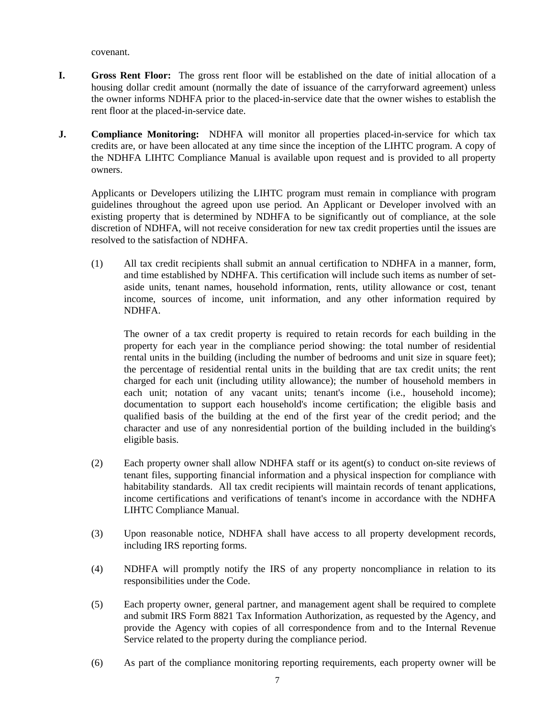covenant.

- **I. Gross Rent Floor:** The gross rent floor will be established on the date of initial allocation of a housing dollar credit amount (normally the date of issuance of the carryforward agreement) unless the owner informs NDHFA prior to the placed-in-service date that the owner wishes to establish the rent floor at the placed-in-service date.
- **J.** Compliance Monitoring: NDHFA will monitor all properties placed-in-service for which tax credits are, or have been allocated at any time since the inception of the LIHTC program. A copy of the NDHFA LIHTC Compliance Manual is available upon request and is provided to all property owners.

 Applicants or Developers utilizing the LIHTC program must remain in compliance with program guidelines throughout the agreed upon use period. An Applicant or Developer involved with an existing property that is determined by NDHFA to be significantly out of compliance, at the sole discretion of NDHFA, will not receive consideration for new tax credit properties until the issues are resolved to the satisfaction of NDHFA.

 (1) All tax credit recipients shall submit an annual certification to NDHFA in a manner, form, and time established by NDHFA. This certification will include such items as number of setaside units, tenant names, household information, rents, utility allowance or cost, tenant income, sources of income, unit information, and any other information required by NDHFA.

 The owner of a tax credit property is required to retain records for each building in the property for each year in the compliance period showing: the total number of residential rental units in the building (including the number of bedrooms and unit size in square feet); the percentage of residential rental units in the building that are tax credit units; the rent charged for each unit (including utility allowance); the number of household members in each unit; notation of any vacant units; tenant's income (i.e., household income); documentation to support each household's income certification; the eligible basis and qualified basis of the building at the end of the first year of the credit period; and the character and use of any nonresidential portion of the building included in the building's eligible basis.

- (2) Each property owner shall allow NDHFA staff or its agent(s) to conduct on-site reviews of tenant files, supporting financial information and a physical inspection for compliance with habitability standards. All tax credit recipients will maintain records of tenant applications, income certifications and verifications of tenant's income in accordance with the NDHFA LIHTC Compliance Manual.
- (3) Upon reasonable notice, NDHFA shall have access to all property development records, including IRS reporting forms.
- (4) NDHFA will promptly notify the IRS of any property noncompliance in relation to its responsibilities under the Code.
- (5) Each property owner, general partner, and management agent shall be required to complete and submit IRS Form 8821 Tax Information Authorization, as requested by the Agency, and provide the Agency with copies of all correspondence from and to the Internal Revenue Service related to the property during the compliance period.
- (6) As part of the compliance monitoring reporting requirements, each property owner will be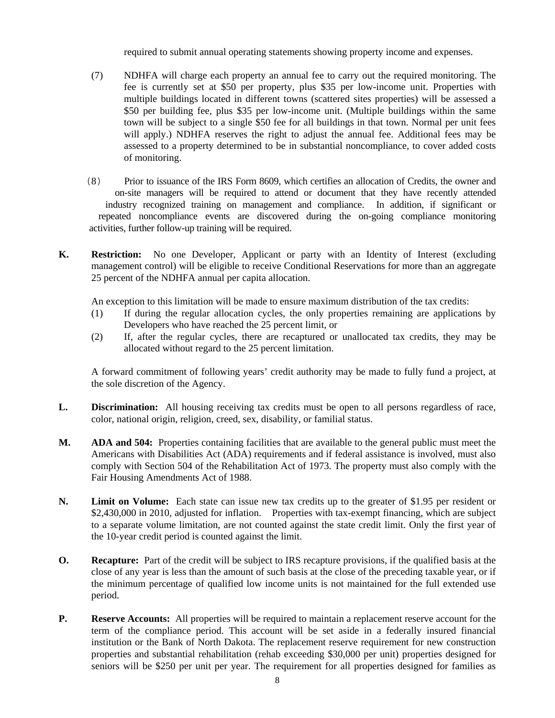required to submit annual operating statements showing property income and expenses.

- (7) NDHFA will charge each property an annual fee to carry out the required monitoring. The fee is currently set at \$50 per property, plus \$35 per low-income unit. Properties with multiple buildings located in different towns (scattered sites properties) will be assessed a \$50 per building fee, plus \$35 per low-income unit. (Multiple buildings within the same town will be subject to a single \$50 fee for all buildings in that town. Normal per unit fees will apply.) NDHFA reserves the right to adjust the annual fee. Additional fees may be assessed to a property determined to be in substantial noncompliance, to cover added costs of monitoring.
- (8) Prior to issuance of the IRS Form 8609, which certifies an allocation of Credits, the owner and on-site managers will be required to attend or document that they have recently attended industry recognized training on management and compliance. In addition, if significant or repeated noncompliance events are discovered during the on-going compliance monitoring activities, further follow-up training will be required.
- **K. Restriction:** No one Developer, Applicant or party with an Identity of Interest (excluding management control) will be eligible to receive Conditional Reservations for more than an aggregate 25 percent of the NDHFA annual per capita allocation.

An exception to this limitation will be made to ensure maximum distribution of the tax credits:

- (1) If during the regular allocation cycles, the only properties remaining are applications by Developers who have reached the 25 percent limit, or
- (2) If, after the regular cycles, there are recaptured or unallocated tax credits, they may be allocated without regard to the 25 percent limitation.

 A forward commitment of following years' credit authority may be made to fully fund a project, at the sole discretion of the Agency.

- **L. Discrimination:** All housing receiving tax credits must be open to all persons regardless of race, color, national origin, religion, creed, sex, disability, or familial status.
- **M. ADA and 504:** Properties containing facilities that are available to the general public must meet the Americans with Disabilities Act (ADA) requirements and if federal assistance is involved, must also comply with Section 504 of the Rehabilitation Act of 1973. The property must also comply with the Fair Housing Amendments Act of 1988.
- **N. Limit on Volume:** Each state can issue new tax credits up to the greater of \$1.95 per resident or \$2,430,000 in 2010, adjusted for inflation. Properties with tax-exempt financing, which are subject to a separate volume limitation, are not counted against the state credit limit. Only the first year of the 10-year credit period is counted against the limit.
- **O.** Recapture: Part of the credit will be subject to IRS recapture provisions, if the qualified basis at the close of any year is less than the amount of such basis at the close of the preceding taxable year, or if the minimum percentage of qualified low income units is not maintained for the full extended use period.
- **P.** Reserve Accounts: All properties will be required to maintain a replacement reserve account for the term of the compliance period. This account will be set aside in a federally insured financial institution or the Bank of North Dakota. The replacement reserve requirement for new construction properties and substantial rehabilitation (rehab exceeding \$30,000 per unit) properties designed for seniors will be \$250 per unit per year. The requirement for all properties designed for families as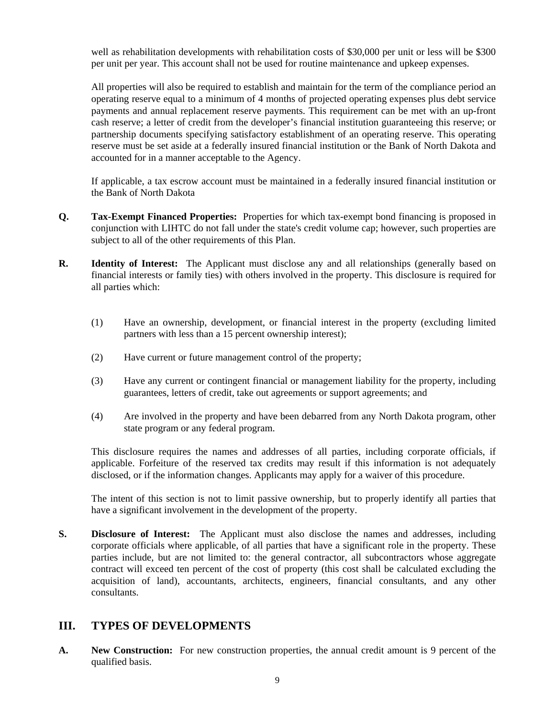well as rehabilitation developments with rehabilitation costs of \$30,000 per unit or less will be \$300 per unit per year. This account shall not be used for routine maintenance and upkeep expenses.

 All properties will also be required to establish and maintain for the term of the compliance period an operating reserve equal to a minimum of 4 months of projected operating expenses plus debt service payments and annual replacement reserve payments. This requirement can be met with an up-front cash reserve; a letter of credit from the developer's financial institution guaranteeing this reserve; or partnership documents specifying satisfactory establishment of an operating reserve. This operating reserve must be set aside at a federally insured financial institution or the Bank of North Dakota and accounted for in a manner acceptable to the Agency.

 If applicable, a tax escrow account must be maintained in a federally insured financial institution or the Bank of North Dakota

- **Q. Tax-Exempt Financed Properties:** Properties for which tax-exempt bond financing is proposed in conjunction with LIHTC do not fall under the state's credit volume cap; however, such properties are subject to all of the other requirements of this Plan.
- **R.** Identity of Interest: The Applicant must disclose any and all relationships (generally based on financial interests or family ties) with others involved in the property. This disclosure is required for all parties which:
	- (1) Have an ownership, development, or financial interest in the property (excluding limited partners with less than a 15 percent ownership interest);
	- (2) Have current or future management control of the property;
	- (3) Have any current or contingent financial or management liability for the property, including guarantees, letters of credit, take out agreements or support agreements; and
	- (4) Are involved in the property and have been debarred from any North Dakota program, other state program or any federal program.

 This disclosure requires the names and addresses of all parties, including corporate officials, if applicable. Forfeiture of the reserved tax credits may result if this information is not adequately disclosed, or if the information changes. Applicants may apply for a waiver of this procedure.

 The intent of this section is not to limit passive ownership, but to properly identify all parties that have a significant involvement in the development of the property.

**S. Disclosure of Interest:** The Applicant must also disclose the names and addresses, including corporate officials where applicable, of all parties that have a significant role in the property. These parties include, but are not limited to: the general contractor, all subcontractors whose aggregate contract will exceed ten percent of the cost of property (this cost shall be calculated excluding the acquisition of land), accountants, architects, engineers, financial consultants, and any other consultants.

# **III. TYPES OF DEVELOPMENTS**

**A. New Construction:** For new construction properties, the annual credit amount is 9 percent of the qualified basis.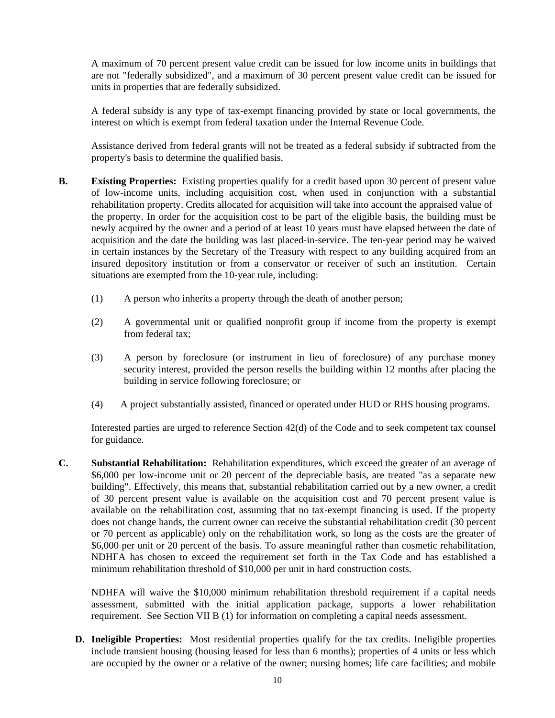A maximum of 70 percent present value credit can be issued for low income units in buildings that are not "federally subsidized", and a maximum of 30 percent present value credit can be issued for units in properties that are federally subsidized.

 A federal subsidy is any type of tax-exempt financing provided by state or local governments, the interest on which is exempt from federal taxation under the Internal Revenue Code.

 Assistance derived from federal grants will not be treated as a federal subsidy if subtracted from the property's basis to determine the qualified basis.

- **B.** Existing Properties: Existing properties qualify for a credit based upon 30 percent of present value of low-income units, including acquisition cost, when used in conjunction with a substantial rehabilitation property. Credits allocated for acquisition will take into account the appraised value of the property. In order for the acquisition cost to be part of the eligible basis, the building must be newly acquired by the owner and a period of at least 10 years must have elapsed between the date of acquisition and the date the building was last placed-in-service. The ten-year period may be waived in certain instances by the Secretary of the Treasury with respect to any building acquired from an insured depository institution or from a conservator or receiver of such an institution. Certain situations are exempted from the 10-year rule, including:
	- (1) A person who inherits a property through the death of another person;
	- (2) A governmental unit or qualified nonprofit group if income from the property is exempt from federal tax;
	- (3) A person by foreclosure (or instrument in lieu of foreclosure) of any purchase money security interest, provided the person resells the building within 12 months after placing the building in service following foreclosure; or
	- (4) A project substantially assisted, financed or operated under HUD or RHS housing programs.

 Interested parties are urged to reference Section 42(d) of the Code and to seek competent tax counsel for guidance.

**C. Substantial Rehabilitation:** Rehabilitation expenditures, which exceed the greater of an average of \$6,000 per low-income unit or 20 percent of the depreciable basis, are treated "as a separate new building". Effectively, this means that, substantial rehabilitation carried out by a new owner, a credit of 30 percent present value is available on the acquisition cost and 70 percent present value is available on the rehabilitation cost, assuming that no tax-exempt financing is used. If the property does not change hands, the current owner can receive the substantial rehabilitation credit (30 percent or 70 percent as applicable) only on the rehabilitation work, so long as the costs are the greater of \$6,000 per unit or 20 percent of the basis. To assure meaningful rather than cosmetic rehabilitation, NDHFA has chosen to exceed the requirement set forth in the Tax Code and has established a minimum rehabilitation threshold of \$10,000 per unit in hard construction costs.

NDHFA will waive the \$10,000 minimum rehabilitation threshold requirement if a capital needs assessment, submitted with the initial application package, supports a lower rehabilitation requirement. See Section VII B (1) for information on completing a capital needs assessment.

**D. Ineligible Properties:** Most residential properties qualify for the tax credits. Ineligible properties include transient housing (housing leased for less than 6 months); properties of 4 units or less which are occupied by the owner or a relative of the owner; nursing homes; life care facilities; and mobile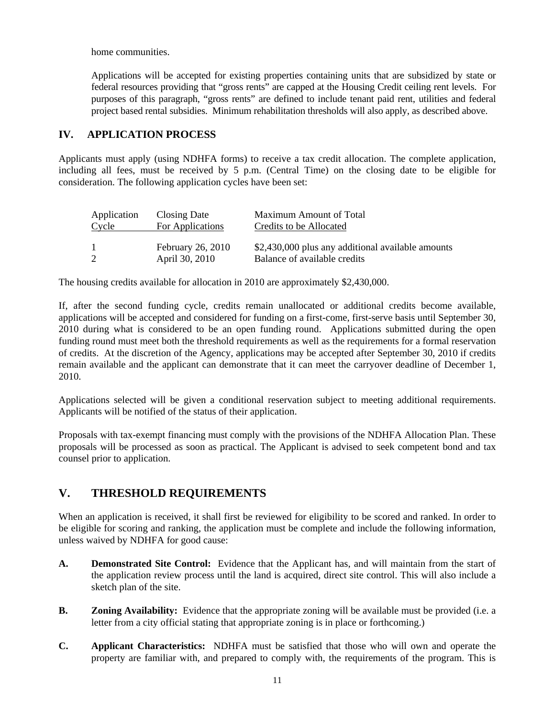home communities.

 Applications will be accepted for existing properties containing units that are subsidized by state or federal resources providing that "gross rents" are capped at the Housing Credit ceiling rent levels. For purposes of this paragraph, "gross rents" are defined to include tenant paid rent, utilities and federal project based rental subsidies. Minimum rehabilitation thresholds will also apply, as described above.

### **IV. APPLICATION PROCESS**

Applicants must apply (using NDHFA forms) to receive a tax credit allocation. The complete application, including all fees, must be received by 5 p.m. (Central Time) on the closing date to be eligible for consideration. The following application cycles have been set:

| Application | Closing Date                        | Maximum Amount of Total        |
|-------------|-------------------------------------|--------------------------------|
| Cycle       | <b>For Applications</b>             | <b>Credits to be Allocated</b> |
|             | February 26, 2010<br>April 30, 2010 |                                |

The housing credits available for allocation in 2010 are approximately \$2,430,000.

If, after the second funding cycle, credits remain unallocated or additional credits become available, applications will be accepted and considered for funding on a first-come, first-serve basis until September 30, 2010 during what is considered to be an open funding round. Applications submitted during the open funding round must meet both the threshold requirements as well as the requirements for a formal reservation of credits. At the discretion of the Agency, applications may be accepted after September 30, 2010 if credits remain available and the applicant can demonstrate that it can meet the carryover deadline of December 1, 2010.

Applications selected will be given a conditional reservation subject to meeting additional requirements. Applicants will be notified of the status of their application.

Proposals with tax-exempt financing must comply with the provisions of the NDHFA Allocation Plan. These proposals will be processed as soon as practical. The Applicant is advised to seek competent bond and tax counsel prior to application.

# **V. THRESHOLD REQUIREMENTS**

When an application is received, it shall first be reviewed for eligibility to be scored and ranked. In order to be eligible for scoring and ranking, the application must be complete and include the following information, unless waived by NDHFA for good cause:

- **A. Demonstrated Site Control:** Evidence that the Applicant has, and will maintain from the start of the application review process until the land is acquired, direct site control. This will also include a sketch plan of the site.
- **B. Zoning Availability:** Evidence that the appropriate zoning will be available must be provided (i.e. a letter from a city official stating that appropriate zoning is in place or forthcoming.)
- **C. Applicant Characteristics:** NDHFA must be satisfied that those who will own and operate the property are familiar with, and prepared to comply with, the requirements of the program. This is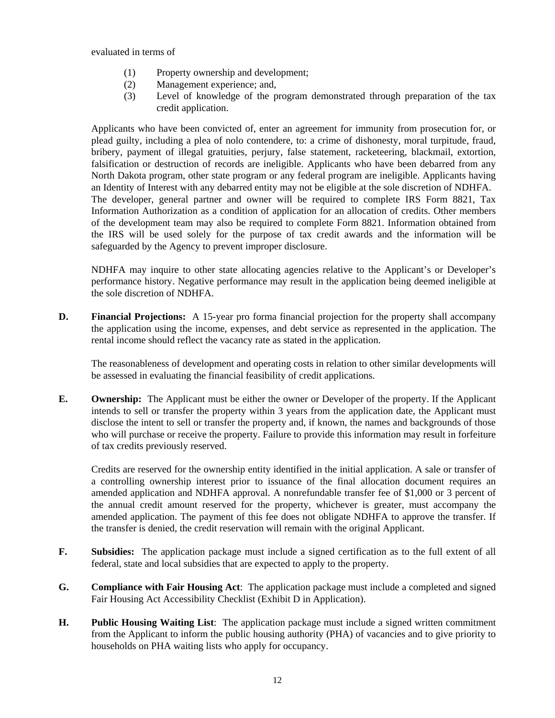evaluated in terms of

- (1) Property ownership and development;
- (2) Management experience; and,
- (3) Level of knowledge of the program demonstrated through preparation of the tax credit application.

 Applicants who have been convicted of, enter an agreement for immunity from prosecution for, or plead guilty, including a plea of nolo contendere, to: a crime of dishonesty, moral turpitude, fraud, bribery, payment of illegal gratuities, perjury, false statement, racketeering, blackmail, extortion, falsification or destruction of records are ineligible. Applicants who have been debarred from any North Dakota program, other state program or any federal program are ineligible. Applicants having an Identity of Interest with any debarred entity may not be eligible at the sole discretion of NDHFA. The developer, general partner and owner will be required to complete IRS Form 8821, Tax Information Authorization as a condition of application for an allocation of credits. Other members of the development team may also be required to complete Form 8821. Information obtained from the IRS will be used solely for the purpose of tax credit awards and the information will be safeguarded by the Agency to prevent improper disclosure.

 NDHFA may inquire to other state allocating agencies relative to the Applicant's or Developer's performance history. Negative performance may result in the application being deemed ineligible at the sole discretion of NDHFA.

**D.** Financial Projections: A 15-year pro forma financial projection for the property shall accompany the application using the income, expenses, and debt service as represented in the application. The rental income should reflect the vacancy rate as stated in the application.

 The reasonableness of development and operating costs in relation to other similar developments will be assessed in evaluating the financial feasibility of credit applications.

**E. Ownership:** The Applicant must be either the owner or Developer of the property. If the Applicant intends to sell or transfer the property within 3 years from the application date, the Applicant must disclose the intent to sell or transfer the property and, if known, the names and backgrounds of those who will purchase or receive the property. Failure to provide this information may result in forfeiture of tax credits previously reserved.

 Credits are reserved for the ownership entity identified in the initial application. A sale or transfer of a controlling ownership interest prior to issuance of the final allocation document requires an amended application and NDHFA approval. A nonrefundable transfer fee of \$1,000 or 3 percent of the annual credit amount reserved for the property, whichever is greater, must accompany the amended application. The payment of this fee does not obligate NDHFA to approve the transfer. If the transfer is denied, the credit reservation will remain with the original Applicant.

- **F. Subsidies:** The application package must include a signed certification as to the full extent of all federal, state and local subsidies that are expected to apply to the property.
- **G. Compliance with Fair Housing Act**: The application package must include a completed and signed Fair Housing Act Accessibility Checklist (Exhibit D in Application).
- **H. Public Housing Waiting List**: The application package must include a signed written commitment from the Applicant to inform the public housing authority (PHA) of vacancies and to give priority to households on PHA waiting lists who apply for occupancy.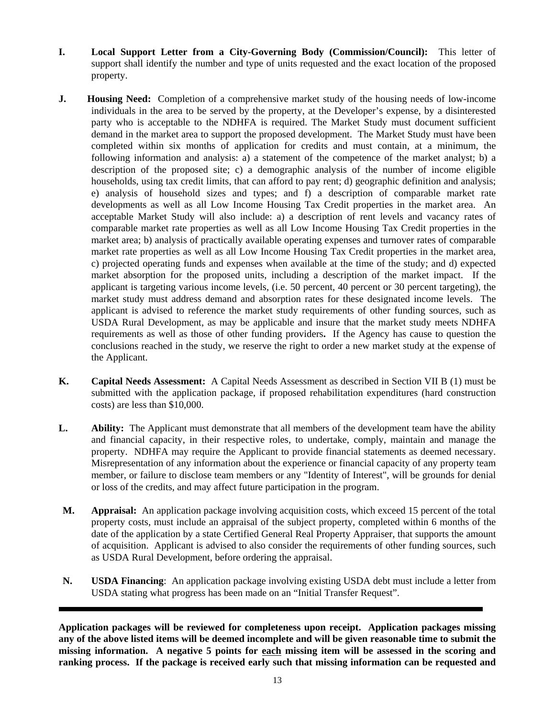- **I. Local Support Letter from a City-Governing Body (Commission/Council):** This letter of support shall identify the number and type of units requested and the exact location of the proposed property.
- **J. Housing Need:** Completion of a comprehensive market study of the housing needs of low-income individuals in the area to be served by the property, at the Developer's expense, by a disinterested party who is acceptable to the NDHFA is required. The Market Study must document sufficient demand in the market area to support the proposed development. The Market Study must have been completed within six months of application for credits and must contain, at a minimum, the following information and analysis: a) a statement of the competence of the market analyst; b) a description of the proposed site; c) a demographic analysis of the number of income eligible households, using tax credit limits, that can afford to pay rent; d) geographic definition and analysis; e) analysis of household sizes and types; and f) a description of comparable market rate developments as well as all Low Income Housing Tax Credit properties in the market area. An acceptable Market Study will also include: a) a description of rent levels and vacancy rates of comparable market rate properties as well as all Low Income Housing Tax Credit properties in the market area; b) analysis of practically available operating expenses and turnover rates of comparable market rate properties as well as all Low Income Housing Tax Credit properties in the market area, c) projected operating funds and expenses when available at the time of the study; and d) expected market absorption for the proposed units, including a description of the market impact. If the applicant is targeting various income levels, (i.e. 50 percent, 40 percent or 30 percent targeting), the market study must address demand and absorption rates for these designated income levels. The applicant is advised to reference the market study requirements of other funding sources, such as USDA Rural Development, as may be applicable and insure that the market study meets NDHFA requirements as well as those of other funding providers**.** If the Agency has cause to question the conclusions reached in the study, we reserve the right to order a new market study at the expense of the Applicant.
- **K. Capital Needs Assessment:** A Capital Needs Assessment as described in Section VII B (1) must be submitted with the application package, if proposed rehabilitation expenditures (hard construction costs) are less than \$10,000.
- **L. Ability:** The Applicant must demonstrate that all members of the development team have the ability and financial capacity, in their respective roles, to undertake, comply, maintain and manage the property. NDHFA may require the Applicant to provide financial statements as deemed necessary. Misrepresentation of any information about the experience or financial capacity of any property team member, or failure to disclose team members or any "Identity of Interest", will be grounds for denial or loss of the credits, and may affect future participation in the program.
- **M. Appraisal:** An application package involving acquisition costs, which exceed 15 percent of the total property costs, must include an appraisal of the subject property, completed within 6 months of the date of the application by a state Certified General Real Property Appraiser, that supports the amount of acquisition. Applicant is advised to also consider the requirements of other funding sources, such as USDA Rural Development, before ordering the appraisal.
- **N. USDA Financing**: An application package involving existing USDA debt must include a letter from USDA stating what progress has been made on an "Initial Transfer Request".

l

**Application packages will be reviewed for completeness upon receipt. Application packages missing any of the above listed items will be deemed incomplete and will be given reasonable time to submit the missing information. A negative 5 points for each missing item will be assessed in the scoring and ranking process. If the package is received early such that missing information can be requested and**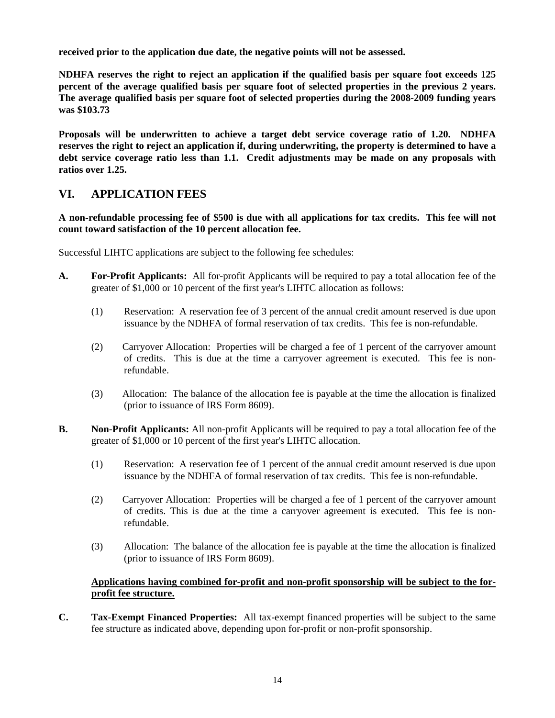**received prior to the application due date, the negative points will not be assessed.**

**NDHFA reserves the right to reject an application if the qualified basis per square foot exceeds 125 percent of the average qualified basis per square foot of selected properties in the previous 2 years. The average qualified basis per square foot of selected properties during the 2008-2009 funding years was \$103.73** 

**Proposals will be underwritten to achieve a target debt service coverage ratio of 1.20. NDHFA reserves the right to reject an application if, during underwriting, the property is determined to have a debt service coverage ratio less than 1.1. Credit adjustments may be made on any proposals with ratios over 1.25.** 

## **VI. APPLICATION FEES**

**A non-refundable processing fee of \$500 is due with all applications for tax credits. This fee will not count toward satisfaction of the 10 percent allocation fee.** 

Successful LIHTC applications are subject to the following fee schedules:

- **A. For-Profit Applicants:** All for-profit Applicants will be required to pay a total allocation fee of the greater of \$1,000 or 10 percent of the first year's LIHTC allocation as follows:
	- (1) Reservation: A reservation fee of 3 percent of the annual credit amount reserved is due upon issuance by the NDHFA of formal reservation of tax credits. This fee is non-refundable.
	- (2) Carryover Allocation: Properties will be charged a fee of 1 percent of the carryover amount of credits. This is due at the time a carryover agreement is executed. This fee is nonrefundable.
	- (3) Allocation: The balance of the allocation fee is payable at the time the allocation is finalized (prior to issuance of IRS Form 8609).
- **B. Non-Profit Applicants:** All non-profit Applicants will be required to pay a total allocation fee of the greater of \$1,000 or 10 percent of the first year's LIHTC allocation.
	- (1) Reservation: A reservation fee of 1 percent of the annual credit amount reserved is due upon issuance by the NDHFA of formal reservation of tax credits. This fee is non-refundable.
	- (2) Carryover Allocation: Properties will be charged a fee of 1 percent of the carryover amount of credits. This is due at the time a carryover agreement is executed. This fee is nonrefundable.
	- (3) Allocation: The balance of the allocation fee is payable at the time the allocation is finalized (prior to issuance of IRS Form 8609).

### **Applications having combined for-profit and non-profit sponsorship will be subject to the forprofit fee structure.**

**C. Tax-Exempt Financed Properties:** All tax-exempt financed properties will be subject to the same fee structure as indicated above, depending upon for-profit or non-profit sponsorship.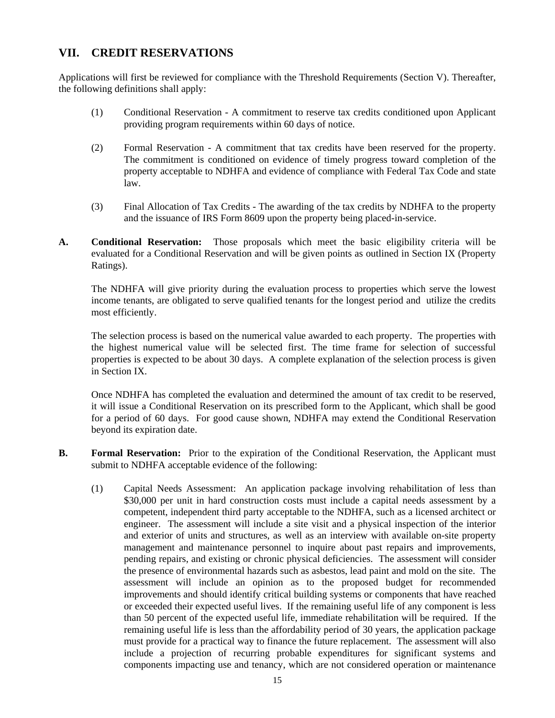# **VII. CREDIT RESERVATIONS**

Applications will first be reviewed for compliance with the Threshold Requirements (Section V). Thereafter, the following definitions shall apply:

- (1) Conditional Reservation A commitment to reserve tax credits conditioned upon Applicant providing program requirements within 60 days of notice.
- (2) Formal Reservation A commitment that tax credits have been reserved for the property. The commitment is conditioned on evidence of timely progress toward completion of the property acceptable to NDHFA and evidence of compliance with Federal Tax Code and state law.
- (3) Final Allocation of Tax Credits The awarding of the tax credits by NDHFA to the property and the issuance of IRS Form 8609 upon the property being placed-in-service.
- **A. Conditional Reservation:** Those proposals which meet the basic eligibility criteria will be evaluated for a Conditional Reservation and will be given points as outlined in Section IX (Property Ratings).

 The NDHFA will give priority during the evaluation process to properties which serve the lowest income tenants, are obligated to serve qualified tenants for the longest period and utilize the credits most efficiently.

 The selection process is based on the numerical value awarded to each property. The properties with the highest numerical value will be selected first. The time frame for selection of successful properties is expected to be about 30 days. A complete explanation of the selection process is given in Section IX.

 Once NDHFA has completed the evaluation and determined the amount of tax credit to be reserved, it will issue a Conditional Reservation on its prescribed form to the Applicant, which shall be good for a period of 60 days. For good cause shown, NDHFA may extend the Conditional Reservation beyond its expiration date.

- **B.** Formal Reservation: Prior to the expiration of the Conditional Reservation, the Applicant must submit to NDHFA acceptable evidence of the following:
	- (1) Capital Needs Assessment: An application package involving rehabilitation of less than \$30,000 per unit in hard construction costs must include a capital needs assessment by a competent, independent third party acceptable to the NDHFA, such as a licensed architect or engineer. The assessment will include a site visit and a physical inspection of the interior and exterior of units and structures, as well as an interview with available on-site property management and maintenance personnel to inquire about past repairs and improvements, pending repairs, and existing or chronic physical deficiencies. The assessment will consider the presence of environmental hazards such as asbestos, lead paint and mold on the site. The assessment will include an opinion as to the proposed budget for recommended improvements and should identify critical building systems or components that have reached or exceeded their expected useful lives. If the remaining useful life of any component is less than 50 percent of the expected useful life, immediate rehabilitation will be required. If the remaining useful life is less than the affordability period of 30 years, the application package must provide for a practical way to finance the future replacement. The assessment will also include a projection of recurring probable expenditures for significant systems and components impacting use and tenancy, which are not considered operation or maintenance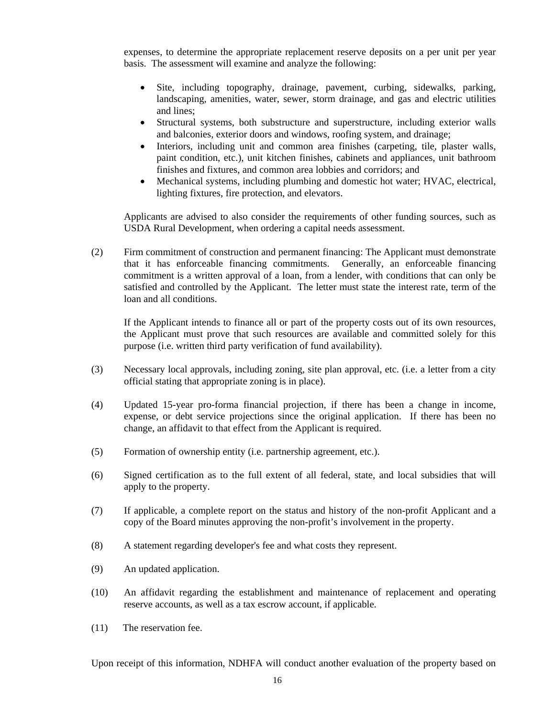expenses, to determine the appropriate replacement reserve deposits on a per unit per year basis. The assessment will examine and analyze the following:

- Site, including topography, drainage, pavement, curbing, sidewalks, parking, landscaping, amenities, water, sewer, storm drainage, and gas and electric utilities and lines;
- Structural systems, both substructure and superstructure, including exterior walls and balconies, exterior doors and windows, roofing system, and drainage;
- Interiors, including unit and common area finishes (carpeting, tile, plaster walls, paint condition, etc.), unit kitchen finishes, cabinets and appliances, unit bathroom finishes and fixtures, and common area lobbies and corridors; and
- Mechanical systems, including plumbing and domestic hot water; HVAC, electrical, lighting fixtures, fire protection, and elevators.

Applicants are advised to also consider the requirements of other funding sources, such as USDA Rural Development, when ordering a capital needs assessment.

(2) Firm commitment of construction and permanent financing: The Applicant must demonstrate that it has enforceable financing commitments. Generally, an enforceable financing commitment is a written approval of a loan, from a lender, with conditions that can only be satisfied and controlled by the Applicant. The letter must state the interest rate, term of the loan and all conditions.

 If the Applicant intends to finance all or part of the property costs out of its own resources, the Applicant must prove that such resources are available and committed solely for this purpose (i.e. written third party verification of fund availability).

- (3) Necessary local approvals, including zoning, site plan approval, etc. (i.e. a letter from a city official stating that appropriate zoning is in place).
- (4) Updated 15-year pro-forma financial projection, if there has been a change in income, expense, or debt service projections since the original application. If there has been no change, an affidavit to that effect from the Applicant is required.
- (5) Formation of ownership entity (i.e. partnership agreement, etc.).
- (6) Signed certification as to the full extent of all federal, state, and local subsidies that will apply to the property.
- (7) If applicable, a complete report on the status and history of the non-profit Applicant and a copy of the Board minutes approving the non-profit's involvement in the property.
- (8) A statement regarding developer's fee and what costs they represent.
- (9) An updated application.
- (10) An affidavit regarding the establishment and maintenance of replacement and operating reserve accounts, as well as a tax escrow account, if applicable.
- (11) The reservation fee.

Upon receipt of this information, NDHFA will conduct another evaluation of the property based on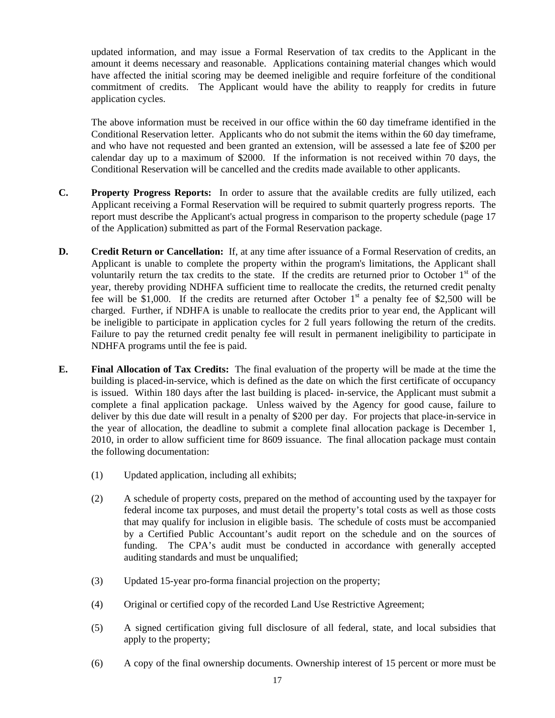updated information, and may issue a Formal Reservation of tax credits to the Applicant in the amount it deems necessary and reasonable. Applications containing material changes which would have affected the initial scoring may be deemed ineligible and require forfeiture of the conditional commitment of credits. The Applicant would have the ability to reapply for credits in future application cycles.

 The above information must be received in our office within the 60 day timeframe identified in the Conditional Reservation letter. Applicants who do not submit the items within the 60 day timeframe, and who have not requested and been granted an extension, will be assessed a late fee of \$200 per calendar day up to a maximum of \$2000. If the information is not received within 70 days, the Conditional Reservation will be cancelled and the credits made available to other applicants.

- **C. Property Progress Reports:** In order to assure that the available credits are fully utilized, each Applicant receiving a Formal Reservation will be required to submit quarterly progress reports. The report must describe the Applicant's actual progress in comparison to the property schedule (page 17 of the Application) submitted as part of the Formal Reservation package.
- **D.** Credit Return or Cancellation: If, at any time after issuance of a Formal Reservation of credits, an Applicant is unable to complete the property within the program's limitations, the Applicant shall voluntarily return the tax credits to the state. If the credits are returned prior to October  $1<sup>st</sup>$  of the year, thereby providing NDHFA sufficient time to reallocate the credits, the returned credit penalty fee will be \$1,000. If the credits are returned after October  $1<sup>st</sup>$  a penalty fee of \$2,500 will be charged. Further, if NDHFA is unable to reallocate the credits prior to year end, the Applicant will be ineligible to participate in application cycles for 2 full years following the return of the credits. Failure to pay the returned credit penalty fee will result in permanent ineligibility to participate in NDHFA programs until the fee is paid.
- **E. Final Allocation of Tax Credits:** The final evaluation of the property will be made at the time the building is placed-in-service, which is defined as the date on which the first certificate of occupancy is issued. Within 180 days after the last building is placed- in-service, the Applicant must submit a complete a final application package. Unless waived by the Agency for good cause, failure to deliver by this due date will result in a penalty of \$200 per day. For projects that place-in-service in the year of allocation, the deadline to submit a complete final allocation package is December 1, 2010, in order to allow sufficient time for 8609 issuance. The final allocation package must contain the following documentation:
	- (1) Updated application, including all exhibits;
	- (2) A schedule of property costs, prepared on the method of accounting used by the taxpayer for federal income tax purposes, and must detail the property's total costs as well as those costs that may qualify for inclusion in eligible basis. The schedule of costs must be accompanied by a Certified Public Accountant's audit report on the schedule and on the sources of funding. The CPA's audit must be conducted in accordance with generally accepted auditing standards and must be unqualified;
	- (3) Updated 15-year pro-forma financial projection on the property;
	- (4) Original or certified copy of the recorded Land Use Restrictive Agreement;
	- (5) A signed certification giving full disclosure of all federal, state, and local subsidies that apply to the property;
	- (6) A copy of the final ownership documents. Ownership interest of 15 percent or more must be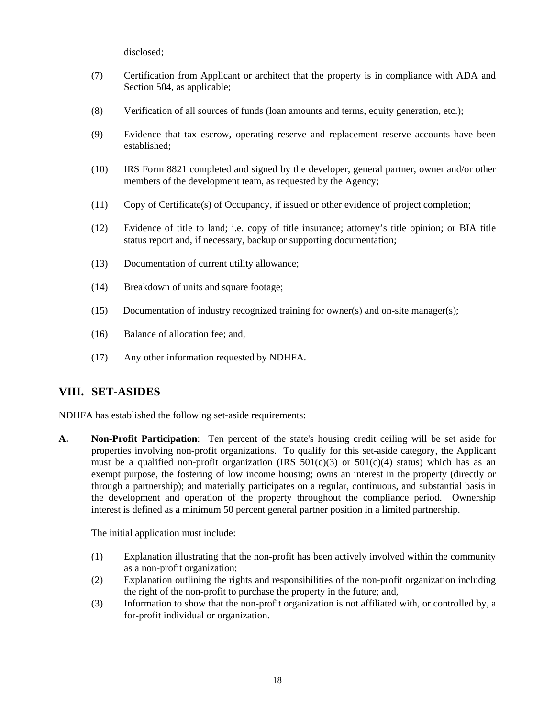disclosed;

- (7) Certification from Applicant or architect that the property is in compliance with ADA and Section 504, as applicable;
- (8) Verification of all sources of funds (loan amounts and terms, equity generation, etc.);
- (9) Evidence that tax escrow, operating reserve and replacement reserve accounts have been established;
- (10) IRS Form 8821 completed and signed by the developer, general partner, owner and/or other members of the development team, as requested by the Agency;
- (11) Copy of Certificate(s) of Occupancy, if issued or other evidence of project completion;
- (12) Evidence of title to land; i.e. copy of title insurance; attorney's title opinion; or BIA title status report and, if necessary, backup or supporting documentation;
- (13) Documentation of current utility allowance;
- (14) Breakdown of units and square footage;
- $(15)$  Documentation of industry recognized training for owner(s) and on-site manager(s);
- (16) Balance of allocation fee; and,
- (17) Any other information requested by NDHFA.

### **VIII. SET-ASIDES**

NDHFA has established the following set-aside requirements:

**A. Non-Profit Participation**: Ten percent of the state's housing credit ceiling will be set aside for properties involving non-profit organizations. To qualify for this set-aside category, the Applicant must be a qualified non-profit organization (IRS  $501(c)(3)$  or  $501(c)(4)$  status) which has as an exempt purpose, the fostering of low income housing; owns an interest in the property (directly or through a partnership); and materially participates on a regular, continuous, and substantial basis in the development and operation of the property throughout the compliance period. Ownership interest is defined as a minimum 50 percent general partner position in a limited partnership.

The initial application must include:

- (1) Explanation illustrating that the non-profit has been actively involved within the community as a non-profit organization;
- (2) Explanation outlining the rights and responsibilities of the non-profit organization including the right of the non-profit to purchase the property in the future; and,
- (3) Information to show that the non-profit organization is not affiliated with, or controlled by, a for-profit individual or organization.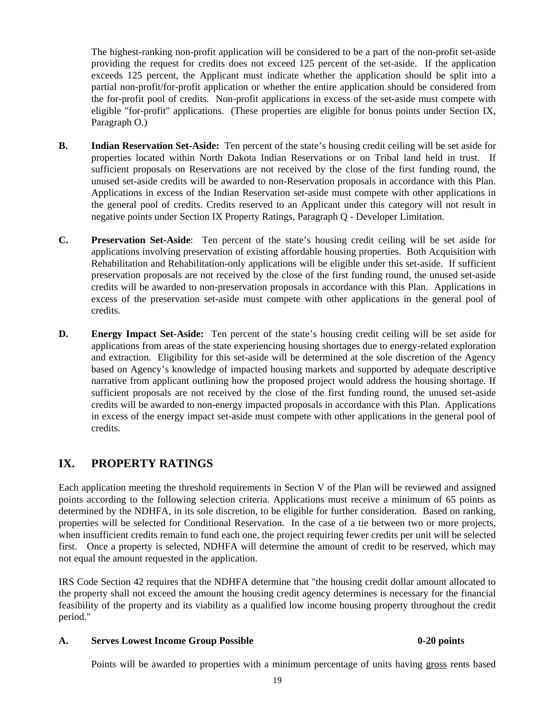The highest-ranking non-profit application will be considered to be a part of the non-profit set-aside providing the request for credits does not exceed 125 percent of the set-aside. If the application exceeds 125 percent, the Applicant must indicate whether the application should be split into a partial non-profit/for-profit application or whether the entire application should be considered from the for-profit pool of credits. Non-profit applications in excess of the set-aside must compete with eligible "for-profit" applications. (These properties are eligible for bonus points under Section IX, Paragraph O.)

- **B. Indian Reservation Set-Aside:** Ten percent of the state's housing credit ceiling will be set aside for properties located within North Dakota Indian Reservations or on Tribal land held in trust. If sufficient proposals on Reservations are not received by the close of the first funding round, the unused set-aside credits will be awarded to non-Reservation proposals in accordance with this Plan. Applications in excess of the Indian Reservation set-aside must compete with other applications in the general pool of credits. Credits reserved to an Applicant under this category will not result in negative points under Section IX Property Ratings, Paragraph Q - Developer Limitation.
- **C. Preservation Set-Aside**: Ten percent of the state's housing credit ceiling will be set aside for applications involving preservation of existing affordable housing properties. Both Acquisition with Rehabilitation and Rehabilitation-only applications will be eligible under this set-aside. If sufficient preservation proposals are not received by the close of the first funding round, the unused set-aside credits will be awarded to non-preservation proposals in accordance with this Plan. Applications in excess of the preservation set-aside must compete with other applications in the general pool of credits.
- **D. Energy Impact Set-Aside:** Ten percent of the state's housing credit ceiling will be set aside for applications from areas of the state experiencing housing shortages due to energy-related exploration and extraction. Eligibility for this set-aside will be determined at the sole discretion of the Agency based on Agency's knowledge of impacted housing markets and supported by adequate descriptive narrative from applicant outlining how the proposed project would address the housing shortage. If sufficient proposals are not received by the close of the first funding round, the unused set-aside credits will be awarded to non-energy impacted proposals in accordance with this Plan. Applications in excess of the energy impact set-aside must compete with other applications in the general pool of credits.

# **IX. PROPERTY RATINGS**

Each application meeting the threshold requirements in Section V of the Plan will be reviewed and assigned points according to the following selection criteria. Applications must receive a minimum of 65 points as determined by the NDHFA, in its sole discretion, to be eligible for further consideration. Based on ranking, properties will be selected for Conditional Reservation. In the case of a tie between two or more projects, when insufficient credits remain to fund each one, the project requiring fewer credits per unit will be selected first. Once a property is selected, NDHFA will determine the amount of credit to be reserved, which may not equal the amount requested in the application.

IRS Code Section 42 requires that the NDHFA determine that "the housing credit dollar amount allocated to the property shall not exceed the amount the housing credit agency determines is necessary for the financial feasibility of the property and its viability as a qualified low income housing property throughout the credit period."

### A. Serves Lowest Income Group Possible 0-20 points **0-20 points**

Points will be awarded to properties with a minimum percentage of units having gross rents based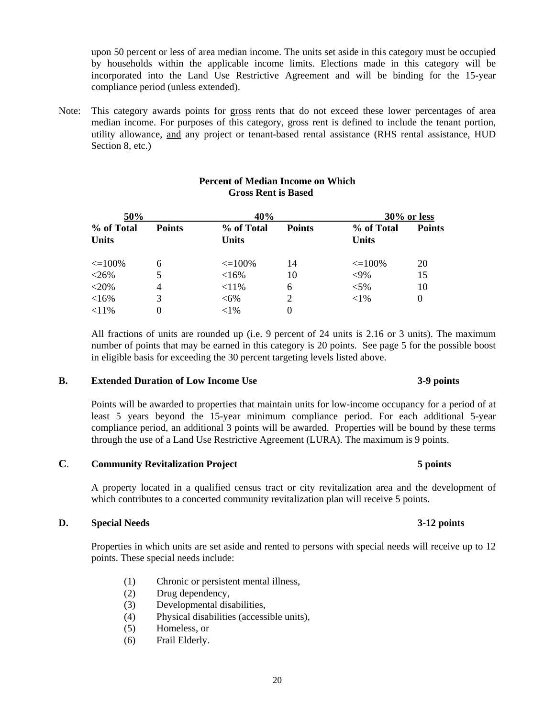upon 50 percent or less of area median income. The units set aside in this category must be occupied by households within the applicable income limits. Elections made in this category will be incorporated into the Land Use Restrictive Agreement and will be binding for the 15-year compliance period (unless extended).

Note: This category awards points for gross rents that do not exceed these lower percentages of area median income. For purposes of this category, gross rent is defined to include the tenant portion, utility allowance, and any project or tenant-based rental assistance (RHS rental assistance, HUD Section 8, etc.)

| 50%                        |                | 40%                        |               | 30% or less                |               |
|----------------------------|----------------|----------------------------|---------------|----------------------------|---------------|
| % of Total<br><b>Units</b> | <b>Points</b>  | % of Total<br><b>Units</b> | <b>Points</b> | % of Total<br><b>Units</b> | <b>Points</b> |
| $\leq$ 100%                | 6              | $\leq$ 100%                | 14            | $\leq$ 100%                | 20            |
| $<$ 26%                    |                | <16%                       | 10            | $<9\%$                     | 15            |
| $<$ 20%                    | $\overline{4}$ | $< 11\%$                   | 6             | $< 5\%$                    | 10            |
| <16%                       | 3              | $<6\%$                     | 2             | ${<}1\%$                   | 0             |
| $< 11\%$                   |                | ${<}1\%$                   | 0             |                            |               |

### **Percent of Median Income on Which Gross Rent is Based**

 All fractions of units are rounded up (i.e. 9 percent of 24 units is 2.16 or 3 units). The maximum number of points that may be earned in this category is 20 points. See page 5 for the possible boost in eligible basis for exceeding the 30 percent targeting levels listed above.

#### **B. Extended Duration of Low Income Use 3-9 points**

 Points will be awarded to properties that maintain units for low-income occupancy for a period of at least 5 years beyond the 15-year minimum compliance period. For each additional 5-year compliance period, an additional 3 points will be awarded. Properties will be bound by these terms through the use of a Land Use Restrictive Agreement (LURA). The maximum is 9 points.

### **C**. **Community Revitalization Project 5 points**

A property located in a qualified census tract or city revitalization area and the development of which contributes to a concerted community revitalization plan will receive 5 points.

#### **D. Special Needs 3-12 points**

 Properties in which units are set aside and rented to persons with special needs will receive up to 12 points. These special needs include:

- (1) Chronic or persistent mental illness,
- (2) Drug dependency,
- (3) Developmental disabilities,
- (4) Physical disabilities (accessible units),
- (5) Homeless, or
- (6) Frail Elderly.

### 20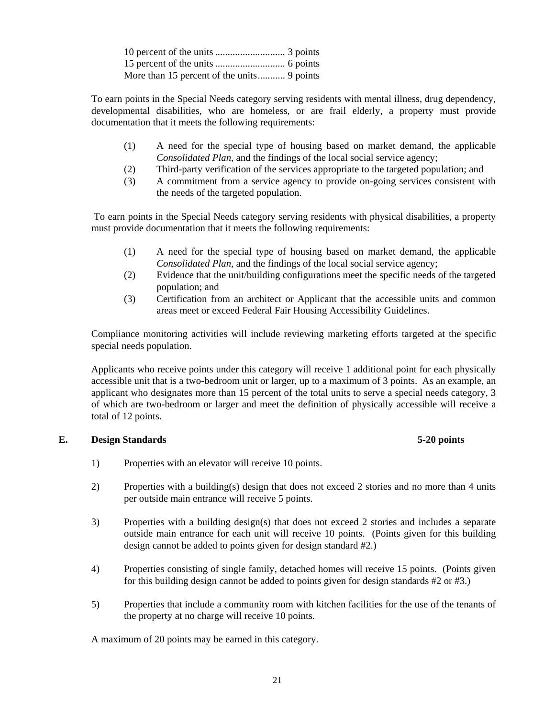To earn points in the Special Needs category serving residents with mental illness, drug dependency, developmental disabilities, who are homeless, or are frail elderly, a property must provide documentation that it meets the following requirements:

- (1) A need for the special type of housing based on market demand, the applicable *Consolidated Plan*, and the findings of the local social service agency;
- (2) Third-party verification of the services appropriate to the targeted population; and
- (3) A commitment from a service agency to provide on-going services consistent with the needs of the targeted population.

 To earn points in the Special Needs category serving residents with physical disabilities, a property must provide documentation that it meets the following requirements:

- (1) A need for the special type of housing based on market demand, the applicable *Consolidated Plan*, and the findings of the local social service agency;
- (2) Evidence that the unit/building configurations meet the specific needs of the targeted population; and
- (3) Certification from an architect or Applicant that the accessible units and common areas meet or exceed Federal Fair Housing Accessibility Guidelines.

 Compliance monitoring activities will include reviewing marketing efforts targeted at the specific special needs population.

 Applicants who receive points under this category will receive 1 additional point for each physically accessible unit that is a two-bedroom unit or larger, up to a maximum of 3 points. As an example, an applicant who designates more than 15 percent of the total units to serve a special needs category, 3 of which are two-bedroom or larger and meet the definition of physically accessible will receive a total of 12 points.

### **E. Design Standards 5-20 points**

- 1) Properties with an elevator will receive 10 points.
- 2) Properties with a building(s) design that does not exceed 2 stories and no more than 4 units per outside main entrance will receive 5 points.
- 3) Properties with a building design(s) that does not exceed 2 stories and includes a separate outside main entrance for each unit will receive 10 points. (Points given for this building design cannot be added to points given for design standard #2.)
- 4) Properties consisting of single family, detached homes will receive 15 points. (Points given for this building design cannot be added to points given for design standards #2 or #3.)
- 5) Properties that include a community room with kitchen facilities for the use of the tenants of the property at no charge will receive 10 points.

A maximum of 20 points may be earned in this category.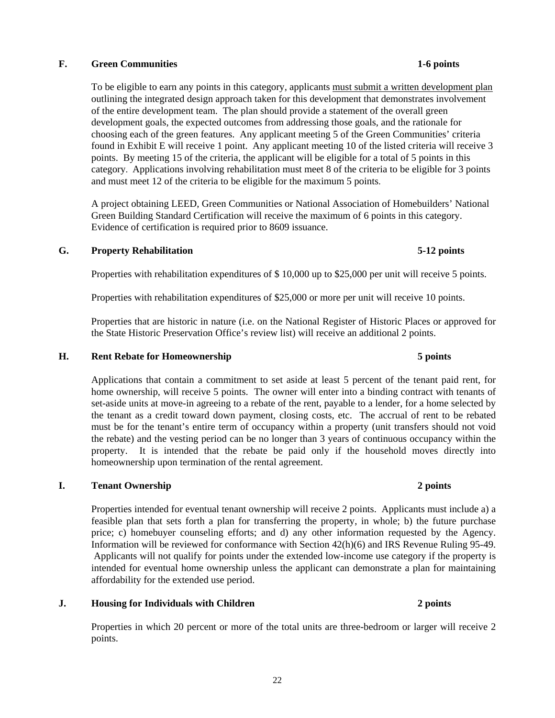### **F. Green Communities 1-6 points**

To be eligible to earn any points in this category, applicants must submit a written development plan outlining the integrated design approach taken for this development that demonstrates involvement of the entire development team. The plan should provide a statement of the overall green development goals, the expected outcomes from addressing those goals, and the rationale for choosing each of the green features. Any applicant meeting 5 of the Green Communities' criteria found in Exhibit E will receive 1 point. Any applicant meeting 10 of the listed criteria will receive 3 points. By meeting 15 of the criteria, the applicant will be eligible for a total of 5 points in this category. Applications involving rehabilitation must meet 8 of the criteria to be eligible for 3 points and must meet 12 of the criteria to be eligible for the maximum 5 points.

A project obtaining LEED, Green Communities or National Association of Homebuilders' National Green Building Standard Certification will receive the maximum of 6 points in this category. Evidence of certification is required prior to 8609 issuance.

#### **G. Property Rehabilitation 5-12 points**

Properties with rehabilitation expenditures of \$ 10,000 up to \$25,000 per unit will receive 5 points.

Properties with rehabilitation expenditures of \$25,000 or more per unit will receive 10 points.

 Properties that are historic in nature (i.e. on the National Register of Historic Places or approved for the State Historic Preservation Office's review list) will receive an additional 2 points.

#### **H. Rent Rebate for Homeownership 5 points**

 Applications that contain a commitment to set aside at least 5 percent of the tenant paid rent, for home ownership, will receive 5 points. The owner will enter into a binding contract with tenants of set-aside units at move-in agreeing to a rebate of the rent, payable to a lender, for a home selected by the tenant as a credit toward down payment, closing costs, etc. The accrual of rent to be rebated must be for the tenant's entire term of occupancy within a property (unit transfers should not void the rebate) and the vesting period can be no longer than 3 years of continuous occupancy within the property. It is intended that the rebate be paid only if the household moves directly into homeownership upon termination of the rental agreement.

#### **I. Tenant Ownership 2 points**

 Properties intended for eventual tenant ownership will receive 2 points. Applicants must include a) a feasible plan that sets forth a plan for transferring the property, in whole; b) the future purchase price; c) homebuyer counseling efforts; and d) any other information requested by the Agency. Information will be reviewed for conformance with Section 42(h)(6) and IRS Revenue Ruling 95-49. Applicants will not qualify for points under the extended low-income use category if the property is intended for eventual home ownership unless the applicant can demonstrate a plan for maintaining affordability for the extended use period.

### **J. Housing for Individuals with Children 2 points 2 points**

Properties in which 20 percent or more of the total units are three-bedroom or larger will receive 2 points.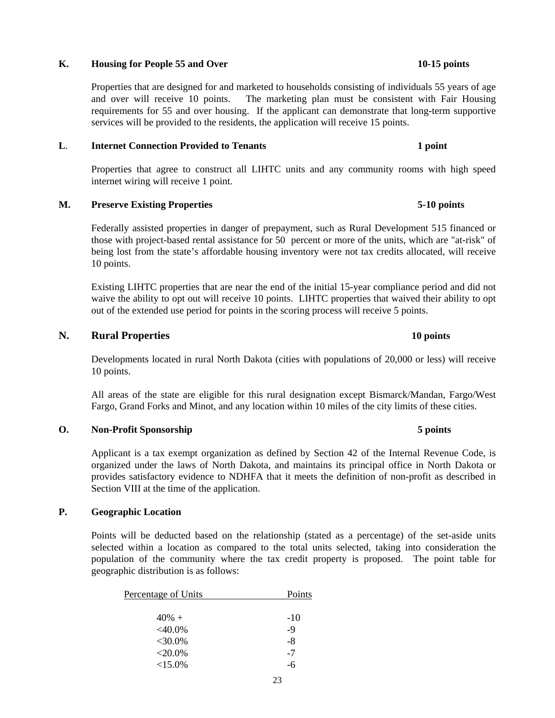#### K. Housing for People 55 and Over 10-15 points

Properties that are designed for and marketed to households consisting of individuals 55 years of age and over will receive 10 points. The marketing plan must be consistent with Fair Housing requirements for 55 and over housing. If the applicant can demonstrate that long-term supportive services will be provided to the residents, the application will receive 15 points.

#### **L. Internet Connection Provided to Tenants 1 point 1 point**

 Properties that agree to construct all LIHTC units and any community rooms with high speed internet wiring will receive 1 point.

### **M. Preserve Existing Properties 5-10 points**

 Federally assisted properties in danger of prepayment, such as Rural Development 515 financed or those with project-based rental assistance for 50 percent or more of the units, which are "at-risk" of being lost from the state's affordable housing inventory were not tax credits allocated, will receive 10 points.

 Existing LIHTC properties that are near the end of the initial 15-year compliance period and did not waive the ability to opt out will receive 10 points. LIHTC properties that waived their ability to opt out of the extended use period for points in the scoring process will receive 5 points.

### **N. Rural Properties 10 points**

 Developments located in rural North Dakota (cities with populations of 20,000 or less) will receive 10 points.

 All areas of the state are eligible for this rural designation except Bismarck/Mandan, Fargo/West Fargo, Grand Forks and Minot, and any location within 10 miles of the city limits of these cities.

#### **O.** Non-Profit Sponsorship **5** points **5** points

 Applicant is a tax exempt organization as defined by Section 42 of the Internal Revenue Code, is organized under the laws of North Dakota, and maintains its principal office in North Dakota or provides satisfactory evidence to NDHFA that it meets the definition of non-profit as described in Section VIII at the time of the application.

#### **P. Geographic Location**

 Points will be deducted based on the relationship (stated as a percentage) of the set-aside units selected within a location as compared to the total units selected, taking into consideration the population of the community where the tax credit property is proposed. The point table for geographic distribution is as follows:

| Percentage of Units | Points |
|---------------------|--------|
|                     |        |
| $40% +$             | $-10$  |
| $<$ 40.0%           | $-9$   |
| $<30.0\%$           | $-8$   |
| $<$ 20.0%           | $-7$   |
| $<15.0\%$           | -6     |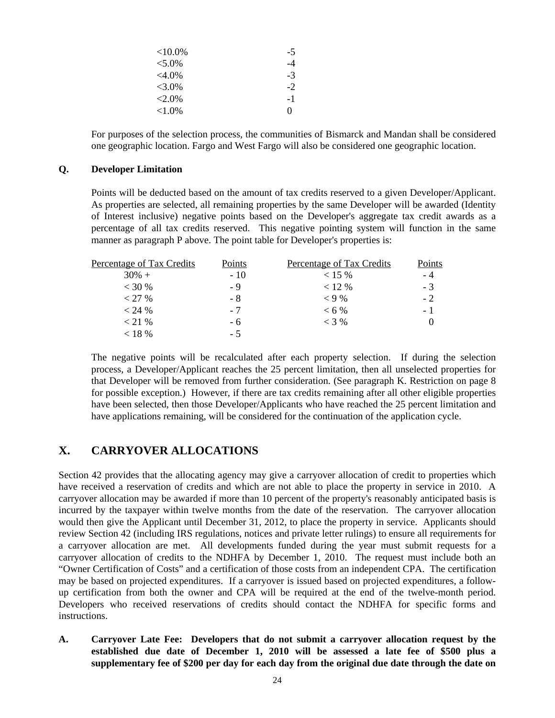| ${<}10.0\%$ | $-5$ |
|-------------|------|
| $< 5.0\%$   | -4   |
| $<4.0\%$    | $-3$ |
| $< 3.0\%$   | $-2$ |
| $<2.0\%$    | $-1$ |
| ${<}1.0\%$  | 0    |

 For purposes of the selection process, the communities of Bismarck and Mandan shall be considered one geographic location. Fargo and West Fargo will also be considered one geographic location.

#### **Q. Developer Limitation**

 Points will be deducted based on the amount of tax credits reserved to a given Developer/Applicant. As properties are selected, all remaining properties by the same Developer will be awarded (Identity of Interest inclusive) negative points based on the Developer's aggregate tax credit awards as a percentage of all tax credits reserved. This negative pointing system will function in the same manner as paragraph P above. The point table for Developer's properties is:

| $30\% +$<br>$-10$<br>$< 15 \%$<br>$<$ 30 %<br>$< 12 \%$<br>- 9<br>$< 9\%$<br>< 27 %<br>- 8<br>$<$ 24 %<br>$< 6\%$<br>- 7<br>$<$ 3 %<br>$<$ 21 %<br>- 6 | Percentage of Tax Credits | Points | Percentage of Tax Credits | Points |
|--------------------------------------------------------------------------------------------------------------------------------------------------------|---------------------------|--------|---------------------------|--------|
|                                                                                                                                                        |                           |        |                           | - 4    |
|                                                                                                                                                        |                           |        |                           | $-3$   |
|                                                                                                                                                        |                           |        |                           | $-2$   |
|                                                                                                                                                        |                           |        |                           | - 1    |
|                                                                                                                                                        |                           |        |                           |        |
|                                                                                                                                                        | $< 18 \%$                 | - 5    |                           |        |

 The negative points will be recalculated after each property selection. If during the selection process, a Developer/Applicant reaches the 25 percent limitation, then all unselected properties for that Developer will be removed from further consideration. (See paragraph K. Restriction on page 8 for possible exception.) However, if there are tax credits remaining after all other eligible properties have been selected, then those Developer/Applicants who have reached the 25 percent limitation and have applications remaining, will be considered for the continuation of the application cycle.

# **X. CARRYOVER ALLOCATIONS**

Section 42 provides that the allocating agency may give a carryover allocation of credit to properties which have received a reservation of credits and which are not able to place the property in service in 2010. A carryover allocation may be awarded if more than 10 percent of the property's reasonably anticipated basis is incurred by the taxpayer within twelve months from the date of the reservation. The carryover allocation would then give the Applicant until December 31, 2012, to place the property in service. Applicants should review Section 42 (including IRS regulations, notices and private letter rulings) to ensure all requirements for a carryover allocation are met. All developments funded during the year must submit requests for a carryover allocation of credits to the NDHFA by December 1, 2010. The request must include both an "Owner Certification of Costs" and a certification of those costs from an independent CPA. The certification may be based on projected expenditures. If a carryover is issued based on projected expenditures, a followup certification from both the owner and CPA will be required at the end of the twelve-month period. Developers who received reservations of credits should contact the NDHFA for specific forms and instructions.

**A. Carryover Late Fee: Developers that do not submit a carryover allocation request by the established due date of December 1, 2010 will be assessed a late fee of \$500 plus a supplementary fee of \$200 per day for each day from the original due date through the date on**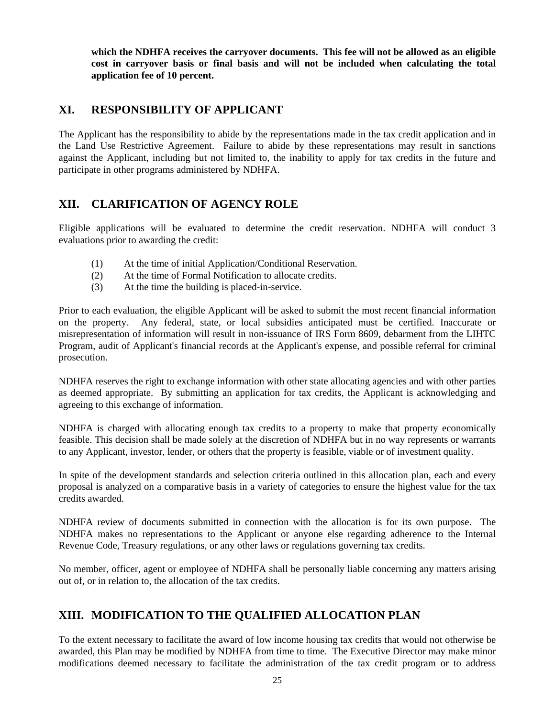**which the NDHFA receives the carryover documents. This fee will not be allowed as an eligible cost in carryover basis or final basis and will not be included when calculating the total application fee of 10 percent.** 

# **XI. RESPONSIBILITY OF APPLICANT**

The Applicant has the responsibility to abide by the representations made in the tax credit application and in the Land Use Restrictive Agreement. Failure to abide by these representations may result in sanctions against the Applicant, including but not limited to, the inability to apply for tax credits in the future and participate in other programs administered by NDHFA.

# **XII. CLARIFICATION OF AGENCY ROLE**

Eligible applications will be evaluated to determine the credit reservation. NDHFA will conduct 3 evaluations prior to awarding the credit:

- (1) At the time of initial Application/Conditional Reservation.
- (2) At the time of Formal Notification to allocate credits.
- (3) At the time the building is placed-in-service.

Prior to each evaluation, the eligible Applicant will be asked to submit the most recent financial information on the property. Any federal, state, or local subsidies anticipated must be certified. Inaccurate or misrepresentation of information will result in non-issuance of IRS Form 8609, debarment from the LIHTC Program, audit of Applicant's financial records at the Applicant's expense, and possible referral for criminal prosecution.

NDHFA reserves the right to exchange information with other state allocating agencies and with other parties as deemed appropriate. By submitting an application for tax credits, the Applicant is acknowledging and agreeing to this exchange of information.

NDHFA is charged with allocating enough tax credits to a property to make that property economically feasible. This decision shall be made solely at the discretion of NDHFA but in no way represents or warrants to any Applicant, investor, lender, or others that the property is feasible, viable or of investment quality.

In spite of the development standards and selection criteria outlined in this allocation plan, each and every proposal is analyzed on a comparative basis in a variety of categories to ensure the highest value for the tax credits awarded.

NDHFA review of documents submitted in connection with the allocation is for its own purpose. The NDHFA makes no representations to the Applicant or anyone else regarding adherence to the Internal Revenue Code, Treasury regulations, or any other laws or regulations governing tax credits.

No member, officer, agent or employee of NDHFA shall be personally liable concerning any matters arising out of, or in relation to, the allocation of the tax credits.

# **XIII. MODIFICATION TO THE QUALIFIED ALLOCATION PLAN**

To the extent necessary to facilitate the award of low income housing tax credits that would not otherwise be awarded, this Plan may be modified by NDHFA from time to time. The Executive Director may make minor modifications deemed necessary to facilitate the administration of the tax credit program or to address